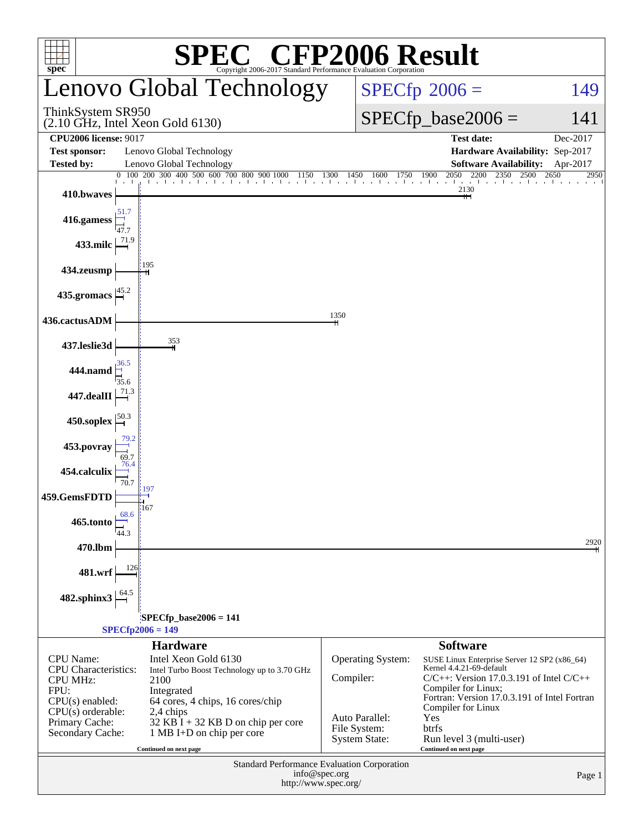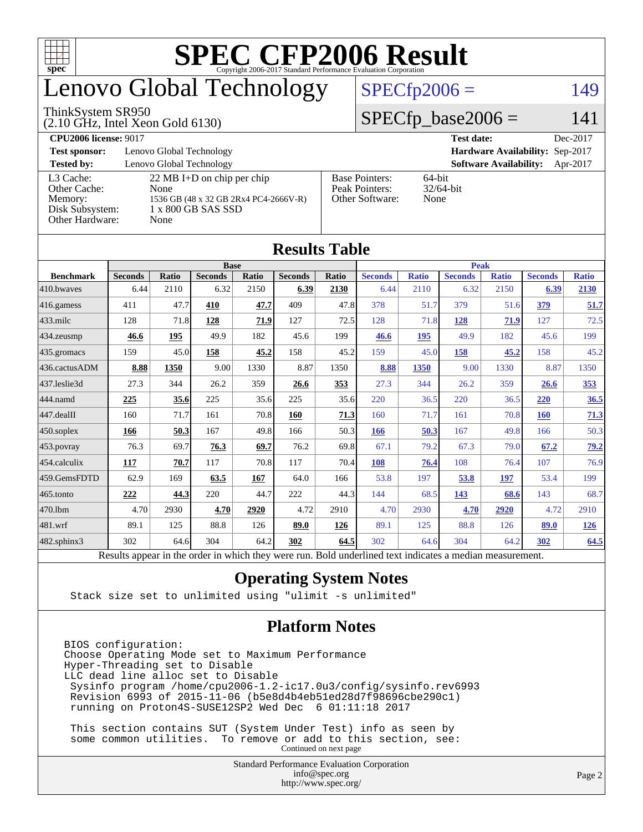

### enovo Global Technology

#### ThinkSystem SR950

(2.10 GHz, Intel Xeon Gold 6130)

#### $SPECfp2006 = 149$  $SPECfp2006 = 149$

#### $SPECfp\_base2006 = 141$

| <b>CPU2006 license: 9017</b> |                                       |                       | <b>Test date:</b><br>Dec-2017             |
|------------------------------|---------------------------------------|-----------------------|-------------------------------------------|
| <b>Test sponsor:</b>         | Lenovo Global Technology              |                       | Hardware Availability: Sep-2017           |
| <b>Tested by:</b>            | Lenovo Global Technology              |                       | <b>Software Availability:</b><br>Apr-2017 |
| L3 Cache:                    | $22 \text{ MB I+D}$ on chip per chip  | <b>Base Pointers:</b> | $64$ -bit                                 |
| Other Cache:                 | None                                  | Peak Pointers:        | $32/64$ -bit                              |
| Memory:                      | 1536 GB (48 x 32 GB 2Rx4 PC4-2666V-R) | Other Software:       | None                                      |
| Disk Subsystem:              | 1 x 800 GB SAS SSD                    |                       |                                           |
| Other Hardware:              | None                                  |                       |                                           |

**[Results Table](http://www.spec.org/auto/cpu2006/Docs/result-fields.html#ResultsTable)**

| Results Table          |                                                                                                          |       |                |              |                |       |                |              |                |              |                |              |
|------------------------|----------------------------------------------------------------------------------------------------------|-------|----------------|--------------|----------------|-------|----------------|--------------|----------------|--------------|----------------|--------------|
|                        |                                                                                                          |       | <b>Base</b>    |              |                |       | <b>Peak</b>    |              |                |              |                |              |
| <b>Benchmark</b>       | <b>Seconds</b>                                                                                           | Ratio | <b>Seconds</b> | <b>Ratio</b> | <b>Seconds</b> | Ratio | <b>Seconds</b> | <b>Ratio</b> | <b>Seconds</b> | <b>Ratio</b> | <b>Seconds</b> | <b>Ratio</b> |
| 410.bwaves             | 6.44                                                                                                     | 2110  | 6.32           | 2150         | 6.39           | 2130  | 6.44           | 2110         | 6.32           | 2150         | 6.39           | 2130         |
| $ 416$ .gamess         | 411                                                                                                      | 47.7  | 410            | 47.7         | 409            | 47.8  | 378            | 51.7         | 379            | 51.6         | 379            | 51.7         |
| 433.milc               | 128                                                                                                      | 71.8  | 128            | 71.9         | 127            | 72.5  | 128            | 71.8         | 128            | 71.9         | 127            | 72.5         |
| 434.zeusmp             | 46.6                                                                                                     | 195   | 49.9           | 182          | 45.6           | 199   | 46.6           | 195          | 49.9           | 182          | 45.6           | 199          |
| 435.gromacs            | 159                                                                                                      | 45.0  | 158            | 45.2         | 158            | 45.2  | 159            | 45.0         | 158            | 45.2         | 158            | 45.2         |
| 436.cactusADM          | 8.88                                                                                                     | 1350  | 9.00           | 1330         | 8.87           | 1350  | 8.88           | 1350         | 9.00           | 1330         | 8.87           | 1350         |
| 437.leslie3d           | 27.3                                                                                                     | 344   | 26.2           | 359          | 26.6           | 353   | 27.3           | 344          | 26.2           | 359          | 26.6           | <u>353</u>   |
| 444.namd               | 225                                                                                                      | 35.6  | 225            | 35.6         | 225            | 35.6  | 220            | 36.5         | 220            | 36.5         | 220            | 36.5         |
| $ 447 \text{.}$ dealII | 160                                                                                                      | 71.7  | 161            | 70.8         | 160            | 71.3  | 160            | 71.7         | 161            | 70.8         | <b>160</b>     | 71.3         |
| $450$ .soplex          | 166                                                                                                      | 50.3  | 167            | 49.8         | 166            | 50.3  | 166            | 50.3         | 167            | 49.8         | 166            | 50.3         |
| $453$ .povray          | 76.3                                                                                                     | 69.7  | 76.3           | 69.7         | 76.2           | 69.8  | 67.1           | 79.2         | 67.3           | 79.0         | 67.2           | 79.2         |
| $454$ .calculix        | 117                                                                                                      | 70.7  | 117            | 70.8         | 117            | 70.4  | 108            | 76.4         | 108            | 76.4         | 107            | 76.9         |
| 459.GemsFDTD           | 62.9                                                                                                     | 169   | 63.5           | 167          | 64.0           | 166   | 53.8           | 197          | 53.8           | 197          | 53.4           | 199          |
| $465$ .tonto           | 222                                                                                                      | 44.3  | 220            | 44.7         | 222            | 44.3  | 144            | 68.5         | 143            | 68.6         | 143            | 68.7         |
| 470.1bm                | 4.70                                                                                                     | 2930  | 4.70           | 2920         | 4.72           | 2910  | 4.70           | 2930         | 4.70           | 2920         | 4.72           | 2910         |
| $ 481$ .wrf            | 89.1                                                                                                     | 125   | 88.8           | 126          | 89.0           | 126   | 89.1           | 125          | 88.8           | 126          | 89.0           | <u>126</u>   |
| $482$ .sphinx $3$      | 302                                                                                                      | 64.6  | 304            | 64.2         | 302            | 64.5  | 302            | 64.6         | 304            | 64.2         | 302            | 64.5         |
|                        | Results appear in the order in which they were run. Bold underlined text indicates a median measurement. |       |                |              |                |       |                |              |                |              |                |              |

#### **[Operating System Notes](http://www.spec.org/auto/cpu2006/Docs/result-fields.html#OperatingSystemNotes)**

Stack size set to unlimited using "ulimit -s unlimited"

#### **[Platform Notes](http://www.spec.org/auto/cpu2006/Docs/result-fields.html#PlatformNotes)**

BIOS configuration: Choose Operating Mode set to Maximum Performance Hyper-Threading set to Disable LLC dead line alloc set to Disable Sysinfo program /home/cpu2006-1.2-ic17.0u3/config/sysinfo.rev6993 Revision 6993 of 2015-11-06 (b5e8d4b4eb51ed28d7f98696cbe290c1) running on Proton4S-SUSE12SP2 Wed Dec 6 01:11:18 2017

 This section contains SUT (System Under Test) info as seen by some common utilities. To remove or add to this section, see: Continued on next page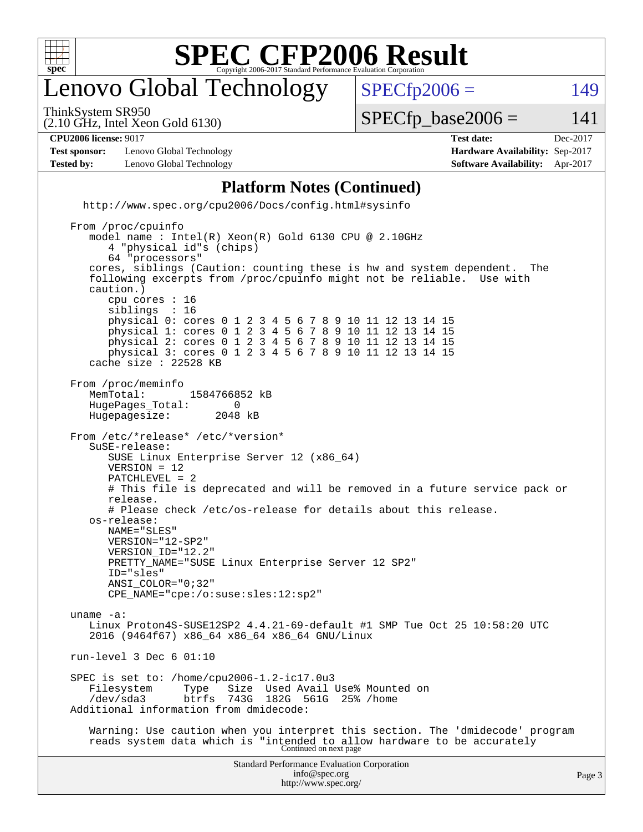

### enovo Global Technology

ThinkSystem SR950

 $SPECTp2006 = 149$ 

(2.10 GHz, Intel Xeon Gold 6130)

 $SPECTp\_base2006 = 141$ 

| <b>CPU2006 license: 9017</b> |  |
|------------------------------|--|
|                              |  |

**[Test sponsor:](http://www.spec.org/auto/cpu2006/Docs/result-fields.html#Testsponsor)** Lenovo Global Technology **[Hardware Availability:](http://www.spec.org/auto/cpu2006/Docs/result-fields.html#HardwareAvailability)** Sep-2017 **[Tested by:](http://www.spec.org/auto/cpu2006/Docs/result-fields.html#Testedby)** Lenovo Global Technology **[Software Availability:](http://www.spec.org/auto/cpu2006/Docs/result-fields.html#SoftwareAvailability)** Apr-2017

**[CPU2006 license:](http://www.spec.org/auto/cpu2006/Docs/result-fields.html#CPU2006license)** 9017 **[Test date:](http://www.spec.org/auto/cpu2006/Docs/result-fields.html#Testdate)** Dec-2017

#### **[Platform Notes \(Continued\)](http://www.spec.org/auto/cpu2006/Docs/result-fields.html#PlatformNotes)**

 <http://www.spec.org/cpu2006/Docs/config.html#sysinfo> From /proc/cpuinfo model name : Intel(R) Xeon(R) Gold 6130 CPU @ 2.10GHz 4 "physical id"s (chips) 64 "processors" cores, siblings (Caution: counting these is hw and system dependent. The following excerpts from /proc/cpuinfo might not be reliable. Use with caution.) cpu cores : 16 siblings physical 0: cores 0 1 2 3 4 5 6 7 8 9 10 11 12 13 14 15 physical 1: cores 0 1 2 3 4 5 6 7 8 9 10 11 12 13 14 15 physical 2: cores 0 1 2 3 4 5 6 7 8 9 10 11 12 13 14 15 physical 3: cores 0 1 2 3 4 5 6 7 8 9 10 11 12 13 14 15 cache size : 22528 KB

 From /proc/meminfo MemTotal: 1584766852 kB<br>HugePages Total: 0 HugePages\_Total: 0<br>Hugepagesize: 2048 kB Hugepagesize:

 From /etc/\*release\* /etc/\*version\* SuSE-release: SUSE Linux Enterprise Server 12 (x86\_64) VERSION = 12 PATCHLEVEL = 2 # This file is deprecated and will be removed in a future service pack or release. # Please check /etc/os-release for details about this release. os-release: NAME="SLES" VERSION="12-SP2" VERSION\_ID="12.2"

PRETTY\_NAME="SUSE Linux Enterprise Server 12 SP2" ID="sles" ANSI\_COLOR="0;32" CPE\_NAME="cpe:/o:suse:sles:12:sp2"

 uname -a: Linux Proton4S-SUSE12SP2 4.4.21-69-default #1 SMP Tue Oct 25 10:58:20 UTC 2016 (9464f67) x86\_64 x86\_64 x86\_64 GNU/Linux

run-level 3 Dec 6 01:10

SPEC is set to: /home/cpu2006-1.2-ic17.0u3<br>Filesystem Type Size Used Avail Type Size Used Avail Use% Mounted on<br>btrfs 743G 182G 561G 25% /home /dev/sda3 btrfs 743G 182G 561G 25% /home Additional information from dmidecode:

 Warning: Use caution when you interpret this section. The 'dmidecode' program reads system data which is "intended to allow hardware to be accurately Continued on next page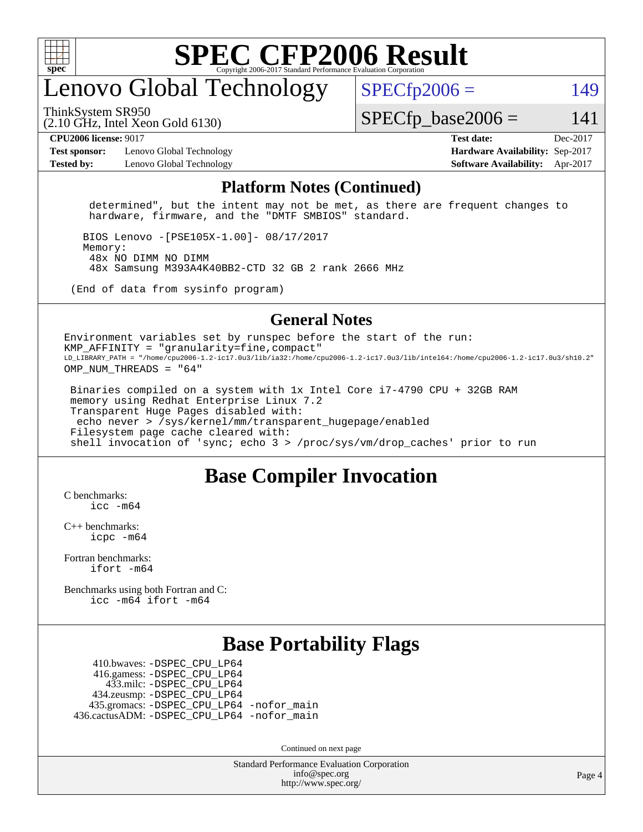

#### enovo Global Technology

ThinkSystem SR950

 $SPECTp2006 = 149$ 

(2.10 GHz, Intel Xeon Gold 6130)

 $SPECTp\_base2006 = 141$ 

**[Test sponsor:](http://www.spec.org/auto/cpu2006/Docs/result-fields.html#Testsponsor)** Lenovo Global Technology **[Hardware Availability:](http://www.spec.org/auto/cpu2006/Docs/result-fields.html#HardwareAvailability)** Sep-2017 **[Tested by:](http://www.spec.org/auto/cpu2006/Docs/result-fields.html#Testedby)** Lenovo Global Technology **[Software Availability:](http://www.spec.org/auto/cpu2006/Docs/result-fields.html#SoftwareAvailability)** Apr-2017

**[CPU2006 license:](http://www.spec.org/auto/cpu2006/Docs/result-fields.html#CPU2006license)** 9017 **[Test date:](http://www.spec.org/auto/cpu2006/Docs/result-fields.html#Testdate)** Dec-2017

#### **[Platform Notes \(Continued\)](http://www.spec.org/auto/cpu2006/Docs/result-fields.html#PlatformNotes)**

 determined", but the intent may not be met, as there are frequent changes to hardware, firmware, and the "DMTF SMBIOS" standard.

 BIOS Lenovo -[PSE105X-1.00]- 08/17/2017 Memory: 48x NO DIMM NO DIMM 48x Samsung M393A4K40BB2-CTD 32 GB 2 rank 2666 MHz

(End of data from sysinfo program)

#### **[General Notes](http://www.spec.org/auto/cpu2006/Docs/result-fields.html#GeneralNotes)**

Environment variables set by runspec before the start of the run: KMP AFFINITY = "granularity=fine, compact" LD\_LIBRARY\_PATH = "/home/cpu2006-1.2-ic17.0u3/lib/ia32:/home/cpu2006-1.2-ic17.0u3/lib/intel64:/home/cpu2006-1.2-ic17.0u3/sh10.2" OMP NUM THREADS = "64"

 Binaries compiled on a system with 1x Intel Core i7-4790 CPU + 32GB RAM memory using Redhat Enterprise Linux 7.2 Transparent Huge Pages disabled with: echo never > /sys/kernel/mm/transparent\_hugepage/enabled Filesystem page cache cleared with: shell invocation of 'sync; echo 3 > /proc/sys/vm/drop\_caches' prior to run

#### **[Base Compiler Invocation](http://www.spec.org/auto/cpu2006/Docs/result-fields.html#BaseCompilerInvocation)**

[C benchmarks](http://www.spec.org/auto/cpu2006/Docs/result-fields.html#Cbenchmarks):  $inc - m64$ 

[C++ benchmarks:](http://www.spec.org/auto/cpu2006/Docs/result-fields.html#CXXbenchmarks) [icpc -m64](http://www.spec.org/cpu2006/results/res2017q4/cpu2006-20171211-51048.flags.html#user_CXXbase_intel_icpc_64bit_fc66a5337ce925472a5c54ad6a0de310)

[Fortran benchmarks](http://www.spec.org/auto/cpu2006/Docs/result-fields.html#Fortranbenchmarks): [ifort -m64](http://www.spec.org/cpu2006/results/res2017q4/cpu2006-20171211-51048.flags.html#user_FCbase_intel_ifort_64bit_ee9d0fb25645d0210d97eb0527dcc06e)

[Benchmarks using both Fortran and C](http://www.spec.org/auto/cpu2006/Docs/result-fields.html#BenchmarksusingbothFortranandC): [icc -m64](http://www.spec.org/cpu2006/results/res2017q4/cpu2006-20171211-51048.flags.html#user_CC_FCbase_intel_icc_64bit_bda6cc9af1fdbb0edc3795bac97ada53) [ifort -m64](http://www.spec.org/cpu2006/results/res2017q4/cpu2006-20171211-51048.flags.html#user_CC_FCbase_intel_ifort_64bit_ee9d0fb25645d0210d97eb0527dcc06e)

#### **[Base Portability Flags](http://www.spec.org/auto/cpu2006/Docs/result-fields.html#BasePortabilityFlags)**

 410.bwaves: [-DSPEC\\_CPU\\_LP64](http://www.spec.org/cpu2006/results/res2017q4/cpu2006-20171211-51048.flags.html#suite_basePORTABILITY410_bwaves_DSPEC_CPU_LP64) 416.gamess: [-DSPEC\\_CPU\\_LP64](http://www.spec.org/cpu2006/results/res2017q4/cpu2006-20171211-51048.flags.html#suite_basePORTABILITY416_gamess_DSPEC_CPU_LP64) 433.milc: [-DSPEC\\_CPU\\_LP64](http://www.spec.org/cpu2006/results/res2017q4/cpu2006-20171211-51048.flags.html#suite_basePORTABILITY433_milc_DSPEC_CPU_LP64) 434.zeusmp: [-DSPEC\\_CPU\\_LP64](http://www.spec.org/cpu2006/results/res2017q4/cpu2006-20171211-51048.flags.html#suite_basePORTABILITY434_zeusmp_DSPEC_CPU_LP64) 435.gromacs: [-DSPEC\\_CPU\\_LP64](http://www.spec.org/cpu2006/results/res2017q4/cpu2006-20171211-51048.flags.html#suite_basePORTABILITY435_gromacs_DSPEC_CPU_LP64) [-nofor\\_main](http://www.spec.org/cpu2006/results/res2017q4/cpu2006-20171211-51048.flags.html#user_baseLDPORTABILITY435_gromacs_f-nofor_main) 436.cactusADM: [-DSPEC\\_CPU\\_LP64](http://www.spec.org/cpu2006/results/res2017q4/cpu2006-20171211-51048.flags.html#suite_basePORTABILITY436_cactusADM_DSPEC_CPU_LP64) [-nofor\\_main](http://www.spec.org/cpu2006/results/res2017q4/cpu2006-20171211-51048.flags.html#user_baseLDPORTABILITY436_cactusADM_f-nofor_main)

Continued on next page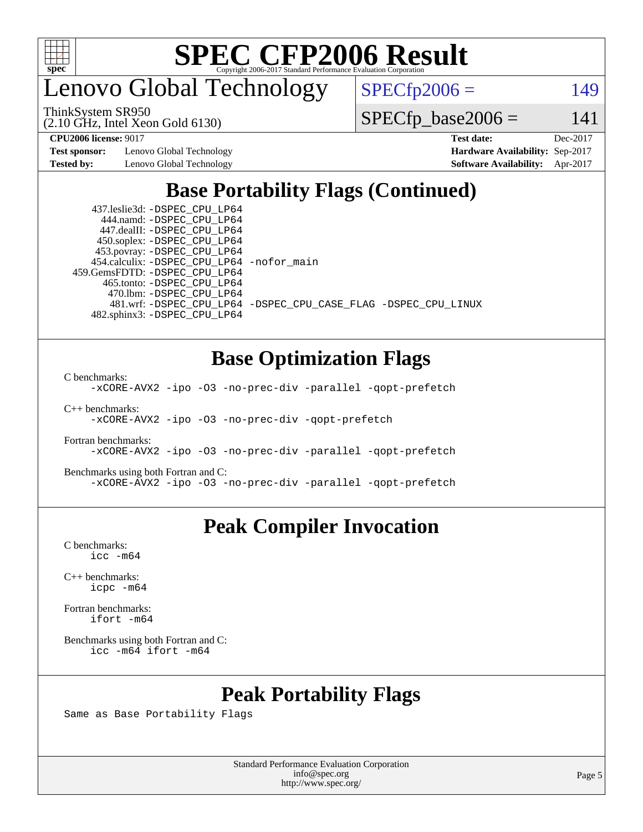

enovo Global Technology

 $SPECfp2006 = 149$  $SPECfp2006 = 149$ 

(2.10 GHz, Intel Xeon Gold 6130) ThinkSystem SR950

 $SPECfp\_base2006 = 141$ 

**[Test sponsor:](http://www.spec.org/auto/cpu2006/Docs/result-fields.html#Testsponsor)** Lenovo Global Technology **[Hardware Availability:](http://www.spec.org/auto/cpu2006/Docs/result-fields.html#HardwareAvailability)** Sep-2017

**[CPU2006 license:](http://www.spec.org/auto/cpu2006/Docs/result-fields.html#CPU2006license)** 9017 **[Test date:](http://www.spec.org/auto/cpu2006/Docs/result-fields.html#Testdate)** Dec-2017 **[Tested by:](http://www.spec.org/auto/cpu2006/Docs/result-fields.html#Testedby)** Lenovo Global Technology **[Software Availability:](http://www.spec.org/auto/cpu2006/Docs/result-fields.html#SoftwareAvailability)** Apr-2017

#### **[Base Portability Flags \(Continued\)](http://www.spec.org/auto/cpu2006/Docs/result-fields.html#BasePortabilityFlags)**

 437.leslie3d: [-DSPEC\\_CPU\\_LP64](http://www.spec.org/cpu2006/results/res2017q4/cpu2006-20171211-51048.flags.html#suite_basePORTABILITY437_leslie3d_DSPEC_CPU_LP64) 444.namd: [-DSPEC\\_CPU\\_LP64](http://www.spec.org/cpu2006/results/res2017q4/cpu2006-20171211-51048.flags.html#suite_basePORTABILITY444_namd_DSPEC_CPU_LP64) 447.dealII: [-DSPEC\\_CPU\\_LP64](http://www.spec.org/cpu2006/results/res2017q4/cpu2006-20171211-51048.flags.html#suite_basePORTABILITY447_dealII_DSPEC_CPU_LP64) 450.soplex: [-DSPEC\\_CPU\\_LP64](http://www.spec.org/cpu2006/results/res2017q4/cpu2006-20171211-51048.flags.html#suite_basePORTABILITY450_soplex_DSPEC_CPU_LP64) 453.povray: [-DSPEC\\_CPU\\_LP64](http://www.spec.org/cpu2006/results/res2017q4/cpu2006-20171211-51048.flags.html#suite_basePORTABILITY453_povray_DSPEC_CPU_LP64) 454.calculix: [-DSPEC\\_CPU\\_LP64](http://www.spec.org/cpu2006/results/res2017q4/cpu2006-20171211-51048.flags.html#suite_basePORTABILITY454_calculix_DSPEC_CPU_LP64) [-nofor\\_main](http://www.spec.org/cpu2006/results/res2017q4/cpu2006-20171211-51048.flags.html#user_baseLDPORTABILITY454_calculix_f-nofor_main) 459.GemsFDTD: [-DSPEC\\_CPU\\_LP64](http://www.spec.org/cpu2006/results/res2017q4/cpu2006-20171211-51048.flags.html#suite_basePORTABILITY459_GemsFDTD_DSPEC_CPU_LP64) 465.tonto: [-DSPEC\\_CPU\\_LP64](http://www.spec.org/cpu2006/results/res2017q4/cpu2006-20171211-51048.flags.html#suite_basePORTABILITY465_tonto_DSPEC_CPU_LP64) 470.lbm: [-DSPEC\\_CPU\\_LP64](http://www.spec.org/cpu2006/results/res2017q4/cpu2006-20171211-51048.flags.html#suite_basePORTABILITY470_lbm_DSPEC_CPU_LP64) 482.sphinx3: [-DSPEC\\_CPU\\_LP64](http://www.spec.org/cpu2006/results/res2017q4/cpu2006-20171211-51048.flags.html#suite_basePORTABILITY482_sphinx3_DSPEC_CPU_LP64)

481.wrf: [-DSPEC\\_CPU\\_LP64](http://www.spec.org/cpu2006/results/res2017q4/cpu2006-20171211-51048.flags.html#suite_basePORTABILITY481_wrf_DSPEC_CPU_LP64) [-DSPEC\\_CPU\\_CASE\\_FLAG](http://www.spec.org/cpu2006/results/res2017q4/cpu2006-20171211-51048.flags.html#b481.wrf_baseCPORTABILITY_DSPEC_CPU_CASE_FLAG) [-DSPEC\\_CPU\\_LINUX](http://www.spec.org/cpu2006/results/res2017q4/cpu2006-20171211-51048.flags.html#b481.wrf_baseCPORTABILITY_DSPEC_CPU_LINUX)

#### **[Base Optimization Flags](http://www.spec.org/auto/cpu2006/Docs/result-fields.html#BaseOptimizationFlags)**

[C benchmarks](http://www.spec.org/auto/cpu2006/Docs/result-fields.html#Cbenchmarks):

[-xCORE-AVX2](http://www.spec.org/cpu2006/results/res2017q4/cpu2006-20171211-51048.flags.html#user_CCbase_f-xCORE-AVX2) [-ipo](http://www.spec.org/cpu2006/results/res2017q4/cpu2006-20171211-51048.flags.html#user_CCbase_f-ipo) [-O3](http://www.spec.org/cpu2006/results/res2017q4/cpu2006-20171211-51048.flags.html#user_CCbase_f-O3) [-no-prec-div](http://www.spec.org/cpu2006/results/res2017q4/cpu2006-20171211-51048.flags.html#user_CCbase_f-no-prec-div) [-parallel](http://www.spec.org/cpu2006/results/res2017q4/cpu2006-20171211-51048.flags.html#user_CCbase_f-parallel) [-qopt-prefetch](http://www.spec.org/cpu2006/results/res2017q4/cpu2006-20171211-51048.flags.html#user_CCbase_f-qopt-prefetch)

[C++ benchmarks:](http://www.spec.org/auto/cpu2006/Docs/result-fields.html#CXXbenchmarks)

[-xCORE-AVX2](http://www.spec.org/cpu2006/results/res2017q4/cpu2006-20171211-51048.flags.html#user_CXXbase_f-xCORE-AVX2) [-ipo](http://www.spec.org/cpu2006/results/res2017q4/cpu2006-20171211-51048.flags.html#user_CXXbase_f-ipo) [-O3](http://www.spec.org/cpu2006/results/res2017q4/cpu2006-20171211-51048.flags.html#user_CXXbase_f-O3) [-no-prec-div](http://www.spec.org/cpu2006/results/res2017q4/cpu2006-20171211-51048.flags.html#user_CXXbase_f-no-prec-div) [-qopt-prefetch](http://www.spec.org/cpu2006/results/res2017q4/cpu2006-20171211-51048.flags.html#user_CXXbase_f-qopt-prefetch)

[Fortran benchmarks](http://www.spec.org/auto/cpu2006/Docs/result-fields.html#Fortranbenchmarks): [-xCORE-AVX2](http://www.spec.org/cpu2006/results/res2017q4/cpu2006-20171211-51048.flags.html#user_FCbase_f-xCORE-AVX2) [-ipo](http://www.spec.org/cpu2006/results/res2017q4/cpu2006-20171211-51048.flags.html#user_FCbase_f-ipo) [-O3](http://www.spec.org/cpu2006/results/res2017q4/cpu2006-20171211-51048.flags.html#user_FCbase_f-O3) [-no-prec-div](http://www.spec.org/cpu2006/results/res2017q4/cpu2006-20171211-51048.flags.html#user_FCbase_f-no-prec-div) [-parallel](http://www.spec.org/cpu2006/results/res2017q4/cpu2006-20171211-51048.flags.html#user_FCbase_f-parallel) [-qopt-prefetch](http://www.spec.org/cpu2006/results/res2017q4/cpu2006-20171211-51048.flags.html#user_FCbase_f-qopt-prefetch)

[Benchmarks using both Fortran and C](http://www.spec.org/auto/cpu2006/Docs/result-fields.html#BenchmarksusingbothFortranandC): [-xCORE-AVX2](http://www.spec.org/cpu2006/results/res2017q4/cpu2006-20171211-51048.flags.html#user_CC_FCbase_f-xCORE-AVX2) [-ipo](http://www.spec.org/cpu2006/results/res2017q4/cpu2006-20171211-51048.flags.html#user_CC_FCbase_f-ipo) [-O3](http://www.spec.org/cpu2006/results/res2017q4/cpu2006-20171211-51048.flags.html#user_CC_FCbase_f-O3) [-no-prec-div](http://www.spec.org/cpu2006/results/res2017q4/cpu2006-20171211-51048.flags.html#user_CC_FCbase_f-no-prec-div) [-parallel](http://www.spec.org/cpu2006/results/res2017q4/cpu2006-20171211-51048.flags.html#user_CC_FCbase_f-parallel) [-qopt-prefetch](http://www.spec.org/cpu2006/results/res2017q4/cpu2006-20171211-51048.flags.html#user_CC_FCbase_f-qopt-prefetch)

#### **[Peak Compiler Invocation](http://www.spec.org/auto/cpu2006/Docs/result-fields.html#PeakCompilerInvocation)**

[C benchmarks](http://www.spec.org/auto/cpu2006/Docs/result-fields.html#Cbenchmarks): [icc -m64](http://www.spec.org/cpu2006/results/res2017q4/cpu2006-20171211-51048.flags.html#user_CCpeak_intel_icc_64bit_bda6cc9af1fdbb0edc3795bac97ada53)

[C++ benchmarks:](http://www.spec.org/auto/cpu2006/Docs/result-fields.html#CXXbenchmarks) [icpc -m64](http://www.spec.org/cpu2006/results/res2017q4/cpu2006-20171211-51048.flags.html#user_CXXpeak_intel_icpc_64bit_fc66a5337ce925472a5c54ad6a0de310)

[Fortran benchmarks](http://www.spec.org/auto/cpu2006/Docs/result-fields.html#Fortranbenchmarks): [ifort -m64](http://www.spec.org/cpu2006/results/res2017q4/cpu2006-20171211-51048.flags.html#user_FCpeak_intel_ifort_64bit_ee9d0fb25645d0210d97eb0527dcc06e)

[Benchmarks using both Fortran and C](http://www.spec.org/auto/cpu2006/Docs/result-fields.html#BenchmarksusingbothFortranandC): [icc -m64](http://www.spec.org/cpu2006/results/res2017q4/cpu2006-20171211-51048.flags.html#user_CC_FCpeak_intel_icc_64bit_bda6cc9af1fdbb0edc3795bac97ada53) [ifort -m64](http://www.spec.org/cpu2006/results/res2017q4/cpu2006-20171211-51048.flags.html#user_CC_FCpeak_intel_ifort_64bit_ee9d0fb25645d0210d97eb0527dcc06e)

#### **[Peak Portability Flags](http://www.spec.org/auto/cpu2006/Docs/result-fields.html#PeakPortabilityFlags)**

Same as Base Portability Flags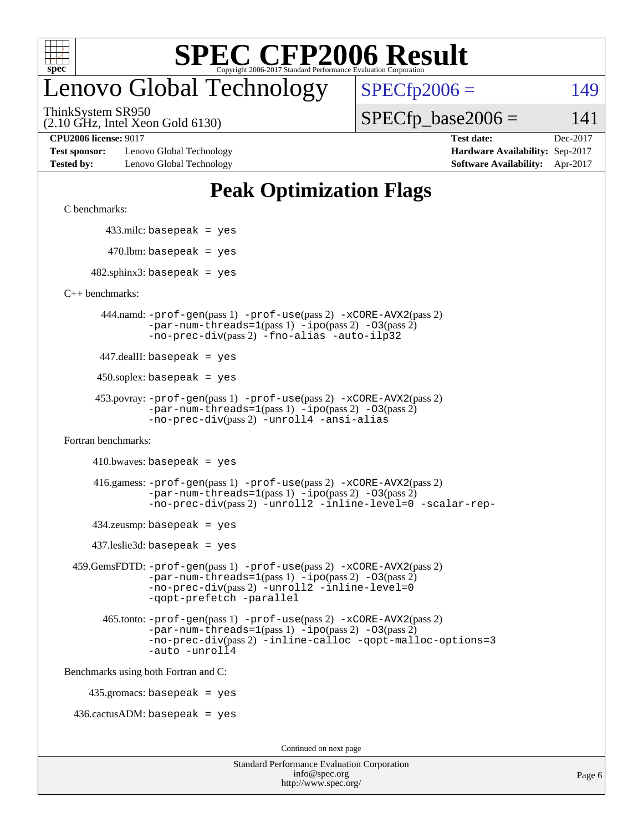

### enovo Global Technology

ThinkSystem SR950

(2.10 GHz, Intel Xeon Gold 6130)

 $SPECfp2006 = 149$  $SPECfp2006 = 149$ 

 $SPECTp\_base2006 = 141$ 

**[Test sponsor:](http://www.spec.org/auto/cpu2006/Docs/result-fields.html#Testsponsor)** Lenovo Global Technology **[Hardware Availability:](http://www.spec.org/auto/cpu2006/Docs/result-fields.html#HardwareAvailability)** Sep-2017 **[Tested by:](http://www.spec.org/auto/cpu2006/Docs/result-fields.html#Testedby)** Lenovo Global Technology **[Software Availability:](http://www.spec.org/auto/cpu2006/Docs/result-fields.html#SoftwareAvailability)** Apr-2017

**[CPU2006 license:](http://www.spec.org/auto/cpu2006/Docs/result-fields.html#CPU2006license)** 9017 **[Test date:](http://www.spec.org/auto/cpu2006/Docs/result-fields.html#Testdate)** Dec-2017

#### **[Peak Optimization Flags](http://www.spec.org/auto/cpu2006/Docs/result-fields.html#PeakOptimizationFlags)**

[C benchmarks](http://www.spec.org/auto/cpu2006/Docs/result-fields.html#Cbenchmarks):

433.milc: basepeak = yes

```
470.lbm: basepeak = yes
```
 $482$ .sphinx3: basepeak = yes

[C++ benchmarks:](http://www.spec.org/auto/cpu2006/Docs/result-fields.html#CXXbenchmarks)

 444.namd: [-prof-gen](http://www.spec.org/cpu2006/results/res2017q4/cpu2006-20171211-51048.flags.html#user_peakPASS1_CXXFLAGSPASS1_LDFLAGS444_namd_prof_gen_e43856698f6ca7b7e442dfd80e94a8fc)(pass 1) [-prof-use](http://www.spec.org/cpu2006/results/res2017q4/cpu2006-20171211-51048.flags.html#user_peakPASS2_CXXFLAGSPASS2_LDFLAGS444_namd_prof_use_bccf7792157ff70d64e32fe3e1250b55)(pass 2) [-xCORE-AVX2](http://www.spec.org/cpu2006/results/res2017q4/cpu2006-20171211-51048.flags.html#user_peakPASS2_CXXFLAGSPASS2_LDFLAGS444_namd_f-xCORE-AVX2)(pass 2)  $-par-num-threads=1(pass 1) -ipo(pass 2) -O3(pass 2)$  $-par-num-threads=1(pass 1) -ipo(pass 2) -O3(pass 2)$  $-par-num-threads=1(pass 1) -ipo(pass 2) -O3(pass 2)$  $-par-num-threads=1(pass 1) -ipo(pass 2) -O3(pass 2)$  $-par-num-threads=1(pass 1) -ipo(pass 2) -O3(pass 2)$  $-par-num-threads=1(pass 1) -ipo(pass 2) -O3(pass 2)$ [-no-prec-div](http://www.spec.org/cpu2006/results/res2017q4/cpu2006-20171211-51048.flags.html#user_peakPASS2_CXXFLAGSPASS2_LDFLAGS444_namd_f-no-prec-div)(pass 2) [-fno-alias](http://www.spec.org/cpu2006/results/res2017q4/cpu2006-20171211-51048.flags.html#user_peakCXXOPTIMIZEOPTIMIZE444_namd_f-no-alias_694e77f6c5a51e658e82ccff53a9e63a) [-auto-ilp32](http://www.spec.org/cpu2006/results/res2017q4/cpu2006-20171211-51048.flags.html#user_peakCXXOPTIMIZE444_namd_f-auto-ilp32)

447.dealII: basepeak = yes

 $450$ .soplex: basepeak = yes

```
 453.povray: -prof-gen(pass 1) -prof-use(pass 2) -xCORE-AVX2(pass 2)
  -par-num-threads=1-ipo-O3(pass 2)-no-prec-div(pass 2) -unroll4 -ansi-alias
```
[Fortran benchmarks](http://www.spec.org/auto/cpu2006/Docs/result-fields.html#Fortranbenchmarks):

```
410.bwaves: basepeak = yes
```

```
 416.gamess: -prof-gen(pass 1) -prof-use(pass 2) -xCORE-AVX2(pass 2)
  -par-num-threads=1-ipo-O3(pass 2)-no-prec-div(pass 2) -unroll2 -inline-level=0 -scalar-rep-
```
 $434$ .zeusmp: basepeak = yes

437.leslie3d: basepeak = yes

```
 459.GemsFDTD: -prof-gen(pass 1) -prof-use(pass 2) -xCORE-AVX2(pass 2)
     -par-num-threads=1-ipo-O3(pass 2)-no-prec-div(pass 2) -unroll2 -inline-level=0
     -qopt-prefetch -parallel
```

```
 465.tonto: -prof-gen(pass 1) -prof-use(pass 2) -xCORE-AVX2(pass 2)
-par-num-threads=1-ipo-O3(pass 2)-no-prec-div-inline-calloc-qopt-malloc-options=3
-auto -unroll4
```
[Benchmarks using both Fortran and C](http://www.spec.org/auto/cpu2006/Docs/result-fields.html#BenchmarksusingbothFortranandC):

435.gromacs: basepeak = yes

 $436.cactusADM: basepeak = yes$ 

Continued on next page

| <b>Standard Performance Evaluation Corporation</b> |
|----------------------------------------------------|
| info@spec.org                                      |
| http://www.spec.org/                               |